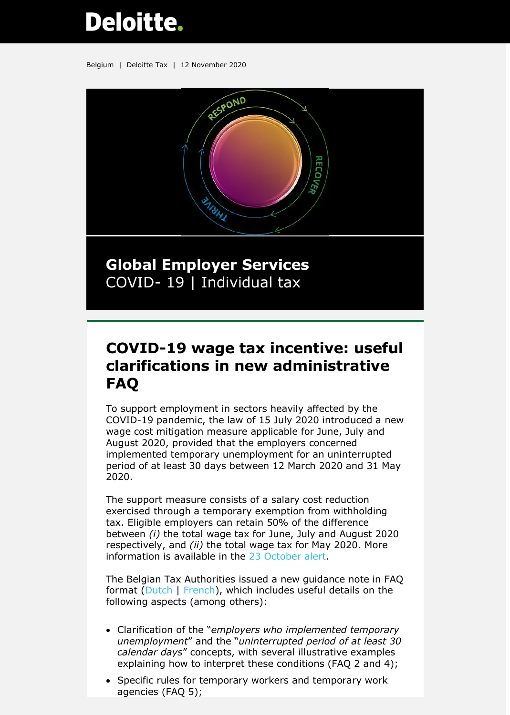## **Deloitte.**

Belgium | Deloitte Tax | 12 November 2020



**Global Employer Services** COVID- 19 | Individual tax

## **COVID-19 wage tax incentive: useful clarifications in new administrative FAQ**

To support employment in sectors heavily affected by the COVID-19 pandemic, the law of 15 July 2020 introduced a new wage cost mitigation measure applicable for June, July and August 2020, provided that the employers concerned implemented temporary unemployment for an uninterrupted period of at least 30 days between 12 March 2020 and 31 May 2020.

The support measure consists of a salary cost reduction exercised through a temporary exemption from withholding tax. Eligible employers can retain 50% of the difference between *(i)* the total wage tax for June, July and August 2020 respectively, and *(ii)* the total wage tax for May 2020. More information is available in the [23 October alert.](https://www2.deloitte.com/content/dam/Deloitte/be/Documents/tax/TaxAlerts/IndividualTaxAlerts/Individual%20tax%20alert%20-%20COVID%20wage%20withholding%20tax%20incentive%20-%2023%20Oct%202020.pdf)

The Belgian Tax Authorities issued a new guidance note in FAQ format [\(Dutch](https://eservices.minfin.fgov.be/myminfin-web/pages/fisconet?_ga=2.218580378.26447814.1591090532-1422166043.1537254169#!/document/aa6d8e5d-f8d2-44ca-bf3b-0b196f0f9e9d/2020%25252FC%25252F135) | [French\)](https://eservices.minfin.fgov.be/myminfin-web/pages/fisconet?_ga=2.218580378.26447814.1591090532-1422166043.1537254169#!/document/05212f16-655e-4803-b2f5-3778d411a463), which includes useful details on the following aspects (among others):

- Clarification of the "*employers who implemented temporary unemployment*" and the "*uninterrupted period of at least 30 calendar days*" concepts, with several illustrative examples explaining how to interpret these conditions (FAQ 2 and 4);
- Specific rules for temporary workers and temporary work agencies (FAQ 5);